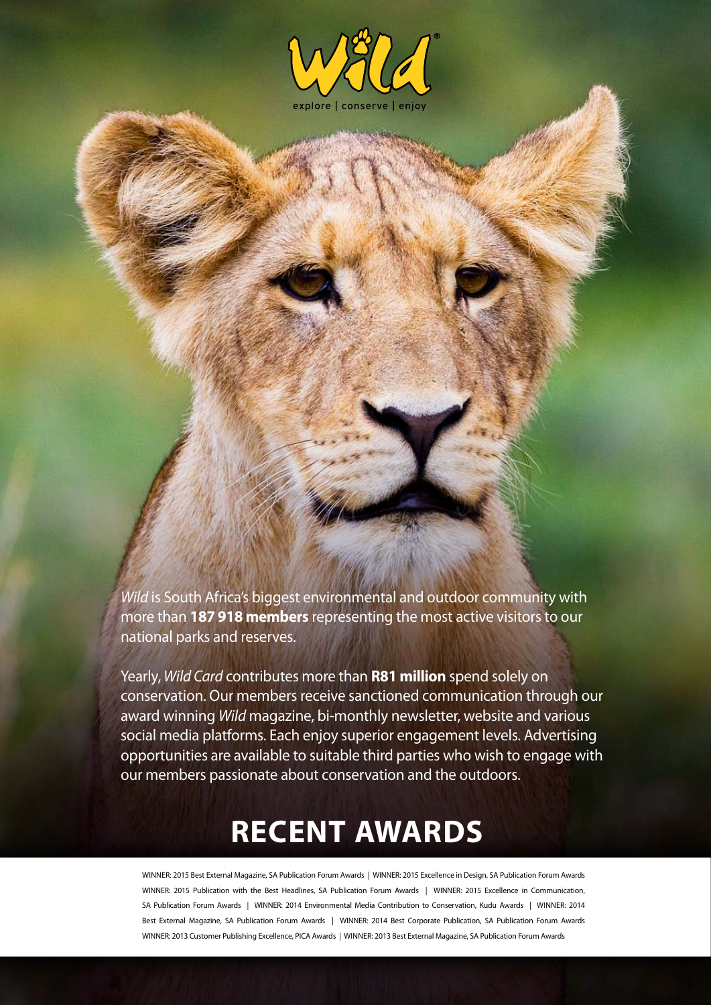

*Wild* is South Africa's biggest environmental and outdoor community with more than **187 918 members** representing the most active visitors to our national parks and reserves.

Yearly, *Wild Card* contributes more than **R81 million** spend solely on conservation. Our members receive sanctioned communication through our award winning *Wild* magazine, bi-monthly newsletter, website and various social media platforms. Each enjoy superior engagement levels. Advertising opportunities are available to suitable third parties who wish to engage with our members passionate about conservation and the outdoors.

# **RECENT AWARDS**

Winner: 2015 Best External Magazine, SA Publication Forum Awards | WINNER: 2015 Excellence in Design, SA Publication Forum Awards WINNER: 2015 Publication with the Best Headlines, SA Publication Forum Awards | WINNER: 2015 Excellence in Communication, SA Publication Forum Awards | WINNER: 2014 Environmental Media Contribution to Conservation, Kudu Awards | WINNER: 2014 Best External Magazine, SA Publication Forum Awards | WINNER: 2014 Best Corporate Publication, SA Publication Forum Awards WINNER: 2013 Customer Publishing Excellence, PICA Awards | Winner: 2013 Best External Magazine, SA Publication Forum Awards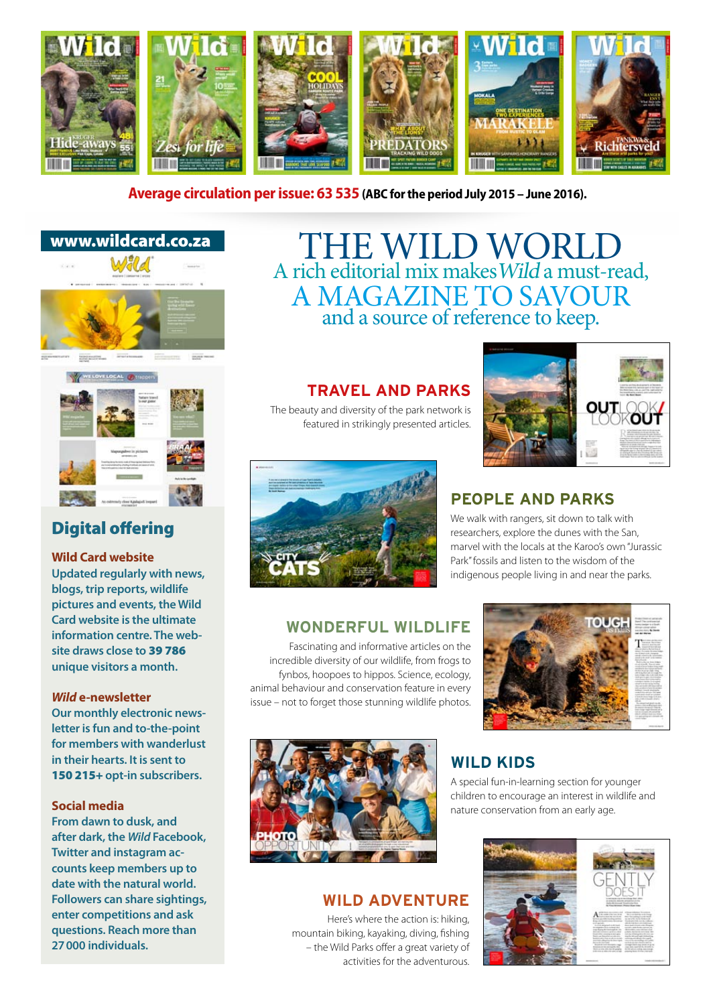

#### **Average circulation per issue: 63 535 (ABC for the period July 2015 – June 2016).**





# Digital offering

#### **Wild Card website**

**Updated regularly with news, blogs, trip reports, wildlife pictures and events, the Wild Card website is the ultimate information centre. The website draws close to** 39 786 **unique visitors a month.**

#### *Wild* **e-newsletter**

**Our monthly electronic newsletter is fun and to-the-point for members with wanderlust in their hearts. It is sent to**  150 215+ **opt-in subscribers.**

#### **Social media**

**From dawn to dusk, and after dark, the** *Wild* **Facebook, Twitter and instagram accounts keep members up to date with the natural world. Followers can share sightings, enter competitions and ask questions. Reach more than 27000 individuals.**

# THE WILD WORLD A rich editorial mix makesWild a must-read, a magazine to savour and a source of reference to keep.

### **Travel and parks**

The beauty and diversity of the park network is featured in strikingly presented articles.





# **People and parks**

We walk with rangers, sit down to talk with researchers, explore the dunes with the San, marvel with the locals at the Karoo's own "Jurassic Park" fossils and listen to the wisdom of the indigenous people living in and near the parks.

# **Wonderful wildlife**

Fascinating and informative articles on the incredible diversity of our wildlife, from frogs to fynbos, hoopoes to hippos. Science, ecology, animal behaviour and conservation feature in every issue – not to forget those stunning wildlife photos.





### **Wild adventure**

Here's where the action is: hiking, mountain biking, kayaking, diving, fishing – the Wild Parks offer a great variety of activities for the adventurous.

# **Wild kids**

A special fun-in-learning section for younger children to encourage an interest in wildlife and nature conservation from an early age.

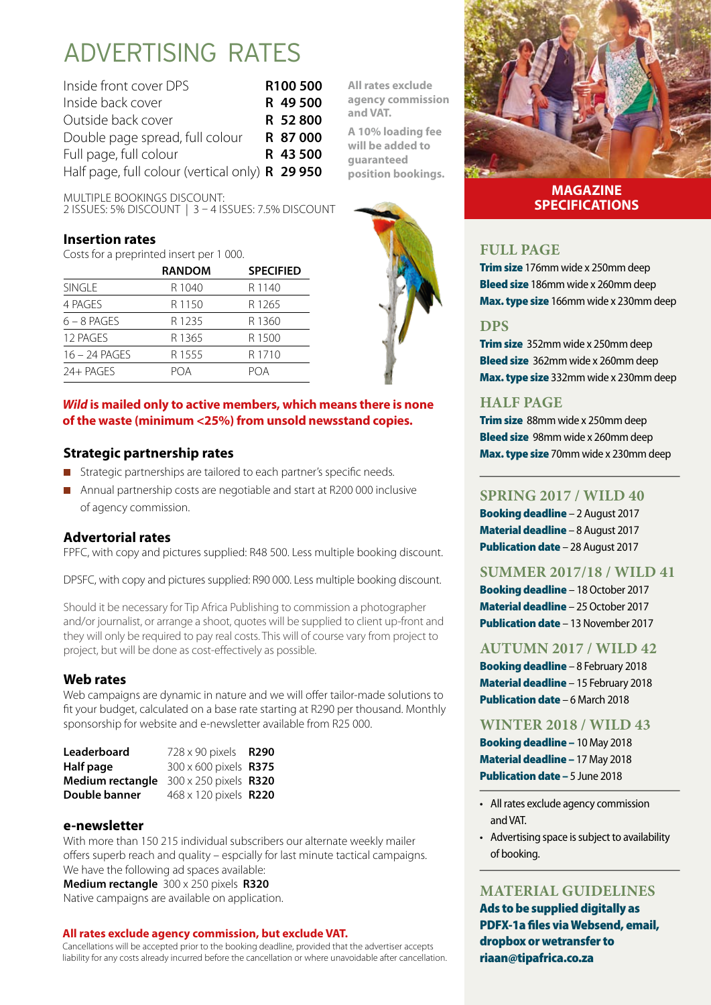# Advertising RATES

| Inside front cover DPS                                 | R100 500 |
|--------------------------------------------------------|----------|
| Inside back cover                                      | R 49 500 |
| Outside back cover                                     | R 52800  |
| Double page spread, full colour                        | R 87000  |
| Full page, full colour                                 | R 43 500 |
| Half page, full colour (vertical only) <b>R 29 950</b> |          |

Multiple bookings discount:

2 issues: 5% discount | 3 – 4 issues: 7.5% discount

#### **Insertion rates**

Costs for a preprinted insert per 1 000.

|                 | <b>RANDOM</b>     | <b>SPECIFIED</b>  |
|-----------------|-------------------|-------------------|
| <b>SINGLE</b>   | R 1040            | R 1140            |
| 4 PAGES         | R 1150            | R1265             |
| $6 - 8$ PAGES   | R <sub>1235</sub> | R1360             |
| 12 PAGES        | R 1365            | R 1500            |
| $16 - 24$ PAGES | R 1555            | R <sub>1710</sub> |
| 24+ PAGES       | POA               | POA               |

#### *Wild* **is mailed only to active members, which means there is none of the waste (minimum <25%) from unsold newsstand copies.**

### **Strategic partnership rates**

- Strategic partnerships are tailored to each partner's specific needs.
- **Annual partnership costs are negotiable and start at R200 000 inclusive** of agency commission.

### **Advertorial rates**

FPFC, with copy and pictures supplied: R48 500. Less multiple booking discount.

DPSFC, with copy and pictures supplied: R90 000. Less multiple booking discount.

Should it be necessary for Tip Africa Publishing to commission a photographer and/or journalist, or arrange a shoot, quotes will be supplied to client up-front and they will only be required to pay real costs. This will of course vary from project to project, but will be done as cost-effectively as possible.

#### **Web rates**

Web campaigns are dynamic in nature and we will offer tailor-made solutions to fit your budget, calculated on a base rate starting at R290 per thousand. Monthly sponsorship for website and e-newsletter available from R25 000.

| 728 x 90 pixels R290<br>300 x 600 pixels R375<br><b>Medium rectangle</b> 300 x 250 pixels <b>R320</b><br>468 x 120 pixels <b>R220</b> |
|---------------------------------------------------------------------------------------------------------------------------------------|

#### **e-newsletter**

With more than 150 215 individual subscribers our alternate weekly mailer offers superb reach and quality – espcially for last minute tactical campaigns. We have the following ad spaces available:

**Medium rectangle** 300 x 250 pixels **R320**  Native campaigns are available on application.

#### **All rates exclude agency commission, but exclude VAT.**

Cancellations will be accepted prior to the booking deadline, provided that the advertiser accepts liability for any costs already incurred before the cancellation or where unavoidable after cancellation.



**A 10% loading fee will be added to guaranteed position bookings.**



#### **MAGAZINE SPECIFICATIONS**

#### **FULL PAGE**

Trim size 176mm wide x 250mm deep Bleed size 186mm wide x 260mm deep Max. type size 166mm wide x 230mm deep

#### **DPS**

**Trim size** 352mm wide x 250mm deep Bleed size 362mm wide x 260mm deep Max. type size 332mm wide x 230mm deep

#### **HALF PAGE**

Trim size 88mm wide x 250mm deep Bleed size 98mm wide x 260mm deep Max. type size 70mm wide x 230mm deep

#### **Spring 2017 / wild 40**

Booking deadline – 2 August 2017 Material deadline – 8 August 2017 Publication date – 28 August 2017

#### **Summer 2017/18 / wild 41**

Booking deadline – 18 October 2017 Material deadline – 25 October 2017 Publication date – 13 November 2017

#### **Autumn 2017 / wild 42**

Booking deadline – 8 February 2018 Material deadline – 15 February 2018 Publication date – 6 March 2018

**Winter 2018 / wild 43**

Booking deadline – 10 May 2018 Material deadline – 17 May 2018 Publication date - 5 June 2018

- All rates exclude agency commission and VAT.
- Advertising space is subject to availability of booking.

#### **MATERIAL GUIDELINES**

Ads to be supplied digitally as PDFX-1a files via Websend, email, dropbox or wetransfer to riaan@tipafrica.co.za